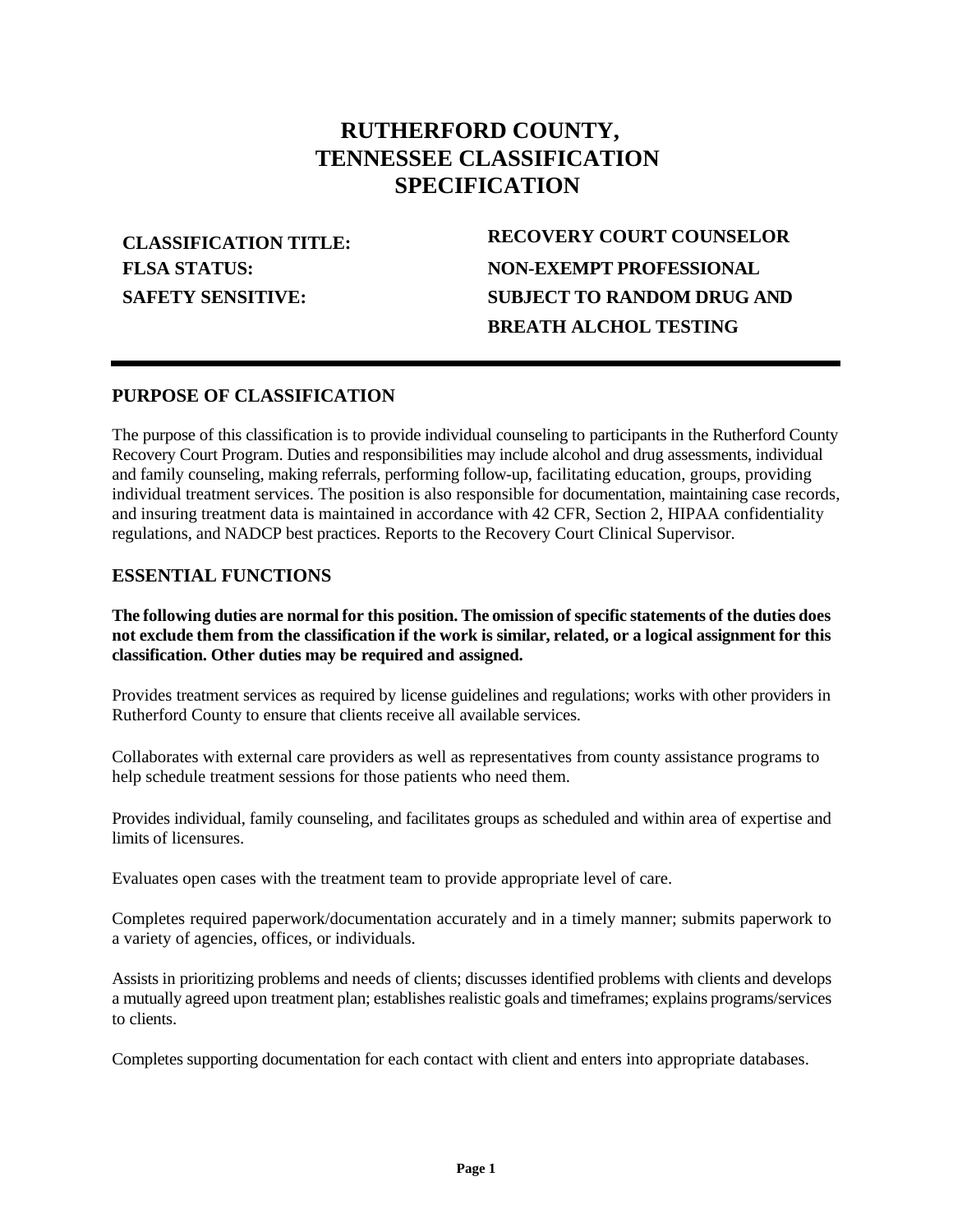# **RUTHERFORD COUNTY, TENNESSEE CLASSIFICATION SPECIFICATION**

**FLSA STATUS: SAFETY SENSITIVE:**

**CLASSIFICATION TITLE: RECOVERY COURT COUNSELOR NON-EXEMPT PROFESSIONAL SUBJECT TO RANDOM DRUG AND BREATH ALCHOL TESTING**

## **PURPOSE OF CLASSIFICATION**

The purpose of this classification is to provide individual counseling to participants in the Rutherford County Recovery Court Program. Duties and responsibilities may include alcohol and drug assessments, individual and family counseling, making referrals, performing follow-up, facilitating education, groups, providing individual treatment services. The position is also responsible for documentation, maintaining case records, and insuring treatment data is maintained in accordance with 42 CFR, Section 2, HIPAA confidentiality regulations, and NADCP best practices. Reports to the Recovery Court Clinical Supervisor.

#### **ESSENTIAL FUNCTIONS**

**The following duties are normal for this position. The omission of specific statements of the duties does not exclude them from the classification if the work is similar, related, or a logical assignment for this classification. Other duties may be required and assigned.**

Provides treatment services as required by license guidelines and regulations; works with other providers in Rutherford County to ensure that clients receive all available services.

Collaborates with external care providers as well as representatives from county assistance programs to help schedule treatment sessions for those patients who need them.

Provides individual, family counseling, and facilitates groups as scheduled and within area of expertise and limits of licensures.

Evaluates open cases with the treatment team to provide appropriate level of care.

Completes required paperwork/documentation accurately and in a timely manner; submits paperwork to a variety of agencies, offices, or individuals.

Assists in prioritizing problems and needs of clients; discusses identified problems with clients and develops a mutually agreed upon treatment plan; establishes realistic goals and timeframes; explains programs/services to clients.

Completes supporting documentation for each contact with client and enters into appropriate databases.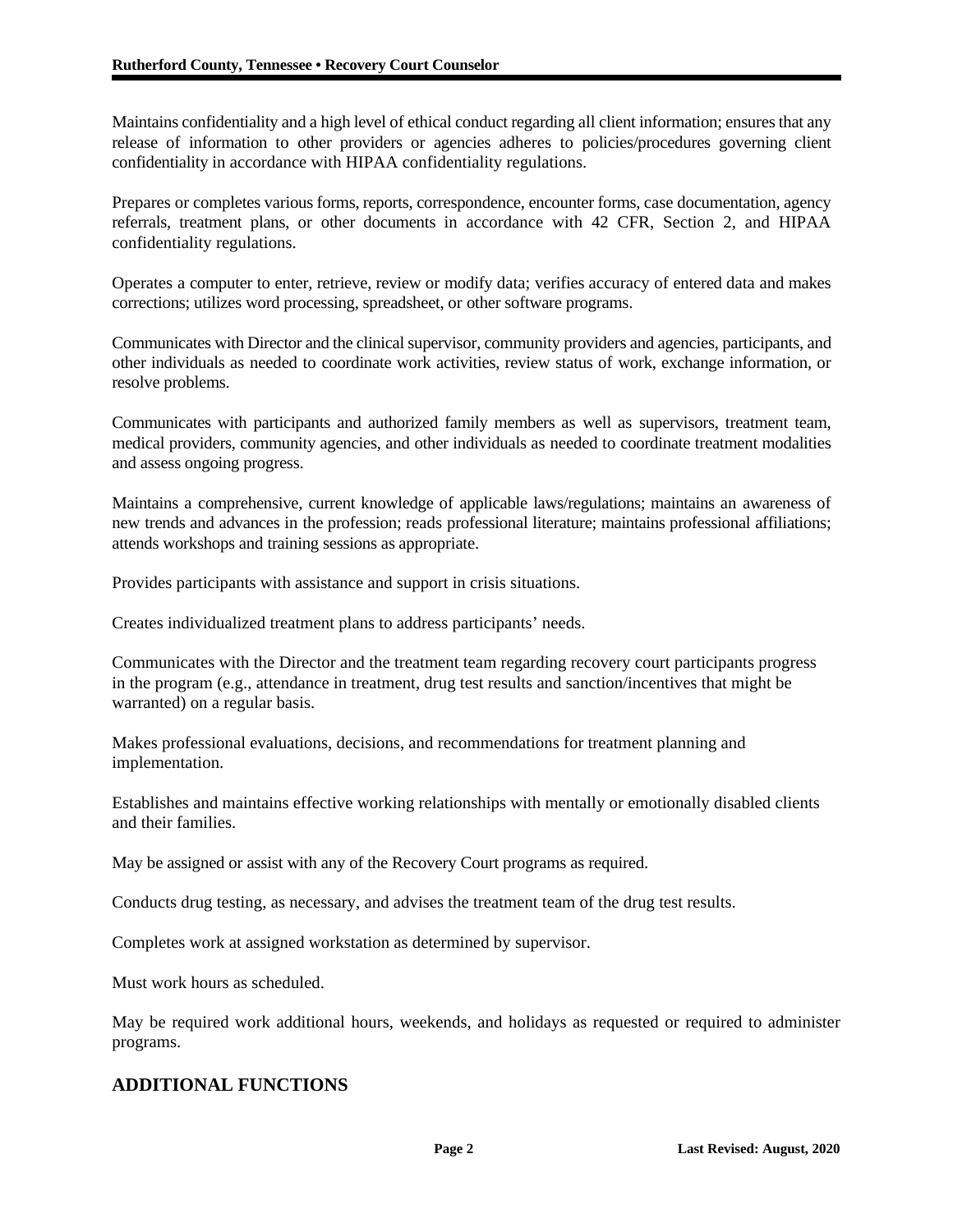Maintains confidentiality and a high level of ethical conduct regarding all client information; ensures that any release of information to other providers or agencies adheres to policies/procedures governing client confidentiality in accordance with HIPAA confidentiality regulations.

Prepares or completes various forms, reports, correspondence, encounter forms, case documentation, agency referrals, treatment plans, or other documents in accordance with 42 CFR, Section 2, and HIPAA confidentiality regulations.

Operates a computer to enter, retrieve, review or modify data; verifies accuracy of entered data and makes corrections; utilizes word processing, spreadsheet, or other software programs.

Communicates with Director and the clinical supervisor, community providers and agencies, participants, and other individuals as needed to coordinate work activities, review status of work, exchange information, or resolve problems.

Communicates with participants and authorized family members as well as supervisors, treatment team, medical providers, community agencies, and other individuals as needed to coordinate treatment modalities and assess ongoing progress.

Maintains a comprehensive, current knowledge of applicable laws/regulations; maintains an awareness of new trends and advances in the profession; reads professional literature; maintains professional affiliations; attends workshops and training sessions as appropriate.

Provides participants with assistance and support in crisis situations.

Creates individualized treatment plans to address participants' needs.

Communicates with the Director and the treatment team regarding recovery court participants progress in the program (e.g., attendance in treatment, drug test results and sanction/incentives that might be warranted) on a regular basis.

Makes professional evaluations, decisions, and recommendations for treatment planning and implementation.

Establishes and maintains effective working relationships with mentally or emotionally disabled clients and their families.

May be assigned or assist with any of the Recovery Court programs as required.

Conducts drug testing, as necessary, and advises the treatment team of the drug test results.

Completes work at assigned workstation as determined by supervisor.

Must work hours as scheduled.

May be required work additional hours, weekends, and holidays as requested or required to administer programs.

## **ADDITIONAL FUNCTIONS**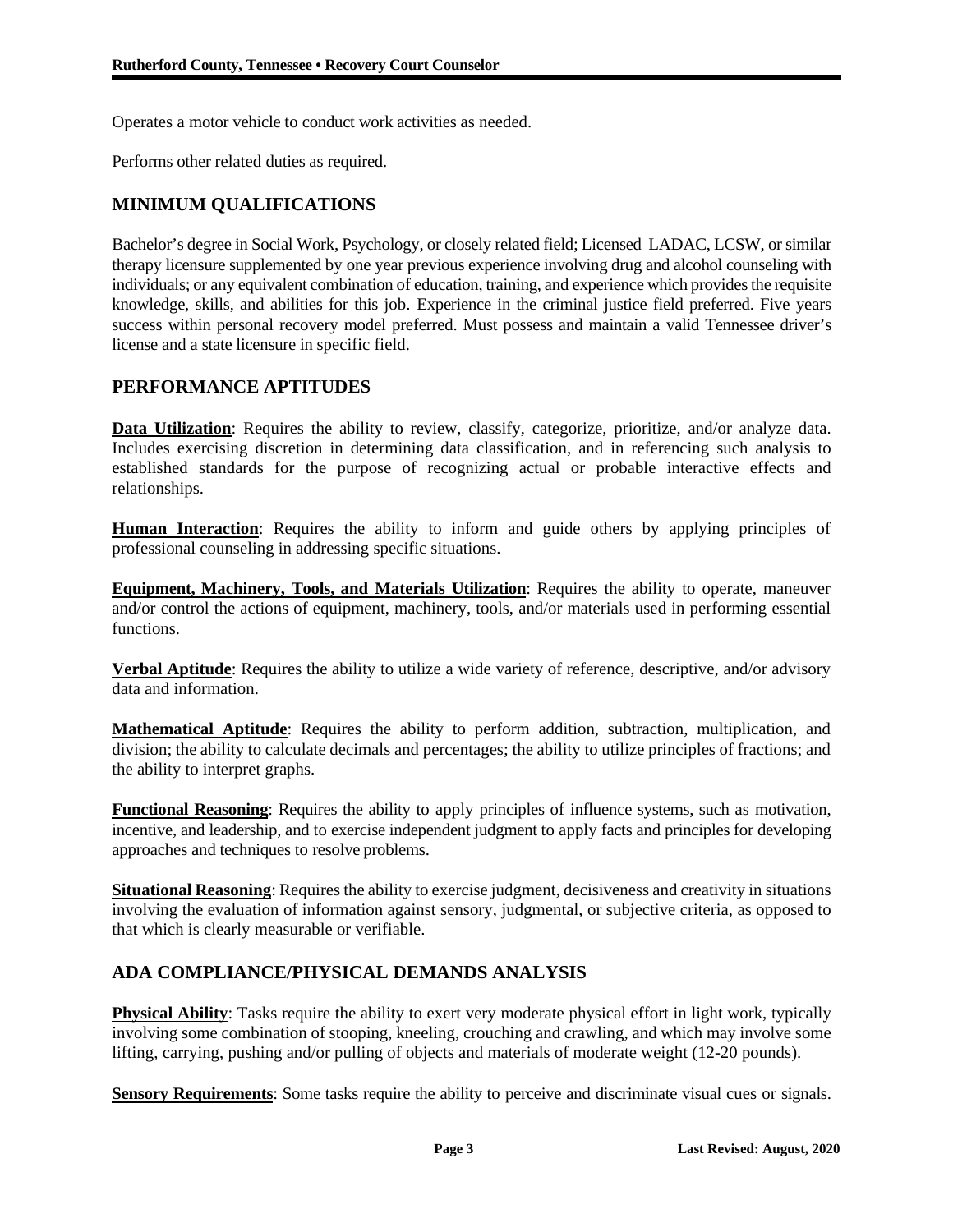Operates a motor vehicle to conduct work activities as needed.

Performs other related duties as required.

# **MINIMUM QUALIFICATIONS**

Bachelor's degree in Social Work, Psychology, or closely related field; Licensed LADAC, LCSW, or similar therapy licensure supplemented by one year previous experience involving drug and alcohol counseling with individuals; or any equivalent combination of education, training, and experience which provides the requisite knowledge, skills, and abilities for this job. Experience in the criminal justice field preferred. Five years success within personal recovery model preferred. Must possess and maintain a valid Tennessee driver's license and a state licensure in specific field.

## **PERFORMANCE APTITUDES**

Data Utilization: Requires the ability to review, classify, categorize, prioritize, and/or analyze data. Includes exercising discretion in determining data classification, and in referencing such analysis to established standards for the purpose of recognizing actual or probable interactive effects and relationships.

**Human Interaction**: Requires the ability to inform and guide others by applying principles of professional counseling in addressing specific situations.

**Equipment, Machinery, Tools, and Materials Utilization**: Requires the ability to operate, maneuver and/or control the actions of equipment, machinery, tools, and/or materials used in performing essential functions.

**Verbal Aptitude**: Requires the ability to utilize a wide variety of reference, descriptive, and/or advisory data and information.

**Mathematical Aptitude**: Requires the ability to perform addition, subtraction, multiplication, and division; the ability to calculate decimals and percentages; the ability to utilize principles of fractions; and the ability to interpret graphs.

**Functional Reasoning**: Requires the ability to apply principles of influence systems, such as motivation, incentive, and leadership, and to exercise independent judgment to apply facts and principles for developing approaches and techniques to resolve problems.

**Situational Reasoning**: Requires the ability to exercise judgment, decisiveness and creativity in situations involving the evaluation of information against sensory, judgmental, or subjective criteria, as opposed to that which is clearly measurable or verifiable.

# **ADA COMPLIANCE/PHYSICAL DEMANDS ANALYSIS**

**Physical Ability**: Tasks require the ability to exert very moderate physical effort in light work, typically involving some combination of stooping, kneeling, crouching and crawling, and which may involve some lifting, carrying, pushing and/or pulling of objects and materials of moderate weight (12-20 pounds).

**Sensory Requirements**: Some tasks require the ability to perceive and discriminate visual cues or signals.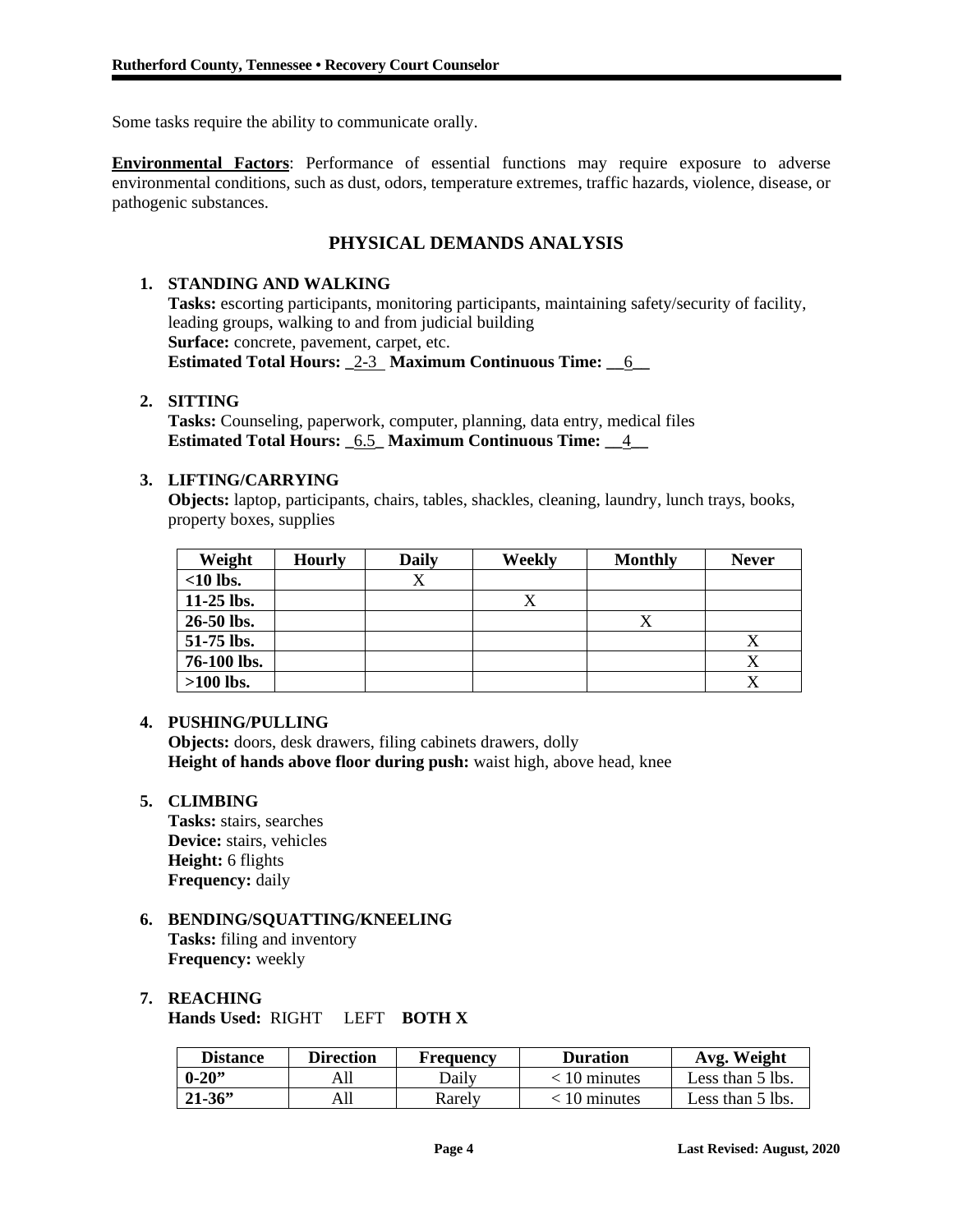Some tasks require the ability to communicate orally.

**Environmental Factors**: Performance of essential functions may require exposure to adverse environmental conditions, such as dust, odors, temperature extremes, traffic hazards, violence, disease, or pathogenic substances.

# **PHYSICAL DEMANDS ANALYSIS**

## **1. STANDING AND WALKING**

**Tasks:** escorting participants, monitoring participants, maintaining safety/security of facility, leading groups, walking to and from judicial building **Surface:** concrete, pavement, carpet, etc. **Estimated Total Hours: \_**2-3 **Maximum Continuous Time: \_\_**6**\_\_**

#### **2. SITTING**

**Tasks:** Counseling, paperwork, computer, planning, data entry, medical files **Estimated Total Hours: \_**6.5**\_ Maximum Continuous Time: \_\_**4**\_\_**

#### **3. LIFTING/CARRYING**

**Objects:** laptop, participants, chairs, tables, shackles, cleaning, laundry, lunch trays, books, property boxes, supplies

| Weight       | <b>Hourly</b> | <b>Daily</b> | Weekly | <b>Monthly</b> | <b>Never</b> |
|--------------|---------------|--------------|--------|----------------|--------------|
| $<$ 10 lbs.  |               |              |        |                |              |
| $11-25$ lbs. |               |              |        |                |              |
| 26-50 lbs.   |               |              |        |                |              |
| 51-75 lbs.   |               |              |        |                | Δ            |
| 76-100 lbs.  |               |              |        |                | Х            |
| $>100$ lbs.  |               |              |        |                |              |

#### **4. PUSHING/PULLING**

**Objects:** doors, desk drawers, filing cabinets drawers, dolly **Height of hands above floor during push:** waist high, above head, knee

## **5. CLIMBING**

**Tasks:** stairs, searches **Device:** stairs, vehicles **Height:** 6 flights **Frequency:** daily

#### **6. BENDING/SQUATTING/KNEELING Tasks:** filing and inventory **Frequency:** weekly

#### **7. REACHING Hands Used:** RIGHT LEFT **BOTH X**

| <b>Distance</b> | <b>Direction</b> | <b>Frequency</b> | <b>Duration</b> | Avg. Weight      |
|-----------------|------------------|------------------|-----------------|------------------|
| $0 - 20$        | All              | Dailv            | < 10 minutes    | Less than 5 lbs. |
| $21 - 36$       | 411              | Rarelv           | 10 minutes      | Less than 5 lbs. |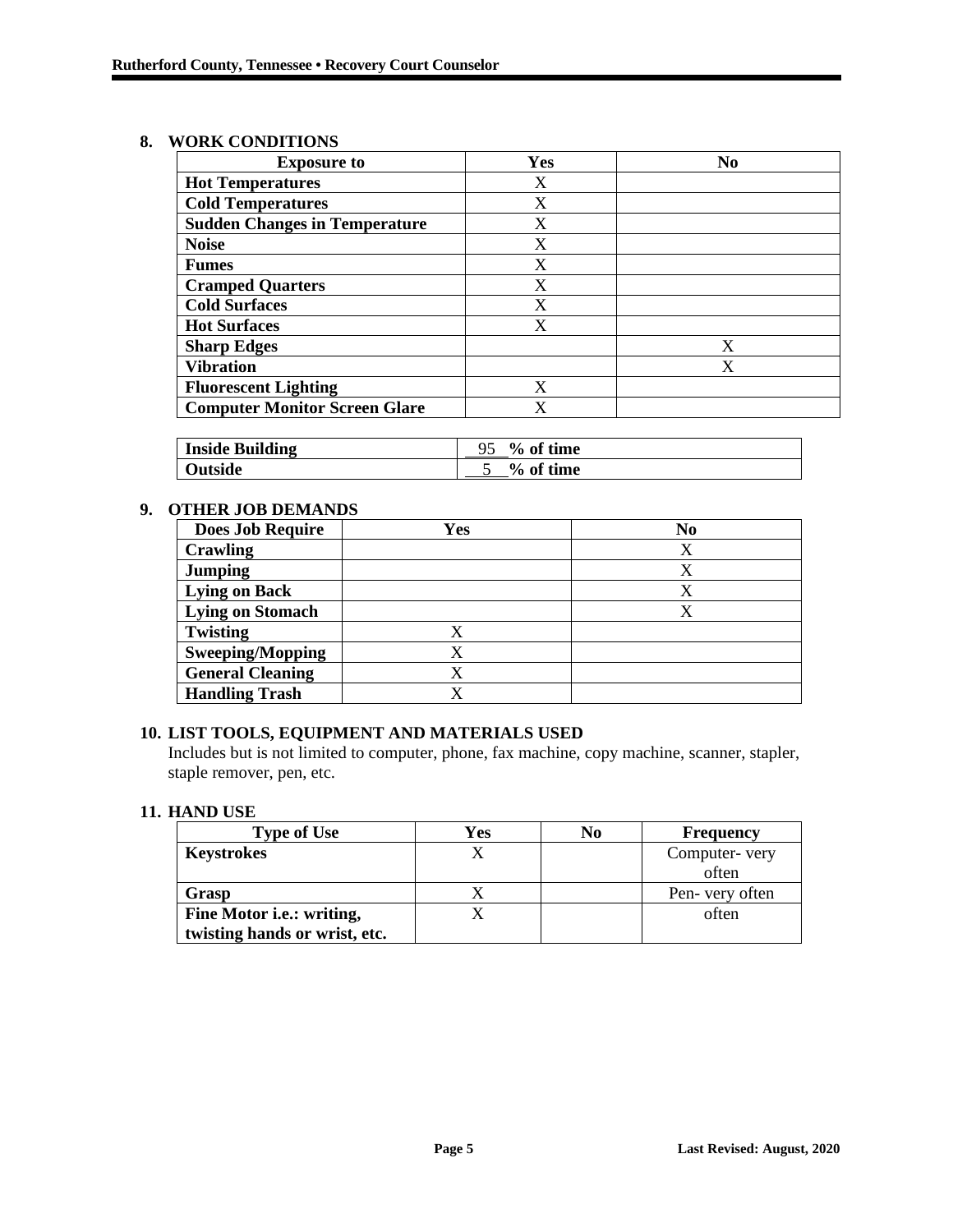#### **8. WORK CONDITIONS**

| <b>Exposure to</b>                   | Yes | N <sub>0</sub> |
|--------------------------------------|-----|----------------|
| <b>Hot Temperatures</b>              | X   |                |
| <b>Cold Temperatures</b>             | X   |                |
| <b>Sudden Changes in Temperature</b> | X   |                |
| <b>Noise</b>                         | X   |                |
| <b>Fumes</b>                         | X   |                |
| <b>Cramped Quarters</b>              | X   |                |
| <b>Cold Surfaces</b>                 | X   |                |
| <b>Hot Surfaces</b>                  | X   |                |
| <b>Sharp Edges</b>                   |     | X              |
| <b>Vibration</b>                     |     | X              |
| <b>Fluorescent Lighting</b>          | X   |                |
| <b>Computer Monitor Screen Glare</b> | X   |                |

| <b>Inside Building</b> | % of time |
|------------------------|-----------|
| <b>Outside</b>         | % of time |

#### **9. OTHER JOB DEMANDS**

| <b>Does Job Require</b> | Yes | N <sub>0</sub> |
|-------------------------|-----|----------------|
| <b>Crawling</b>         |     |                |
| <b>Jumping</b>          |     |                |
| <b>Lying on Back</b>    |     |                |
| <b>Lying on Stomach</b> |     |                |
| <b>Twisting</b>         |     |                |
| <b>Sweeping/Mopping</b> |     |                |
| <b>General Cleaning</b> |     |                |
| <b>Handling Trash</b>   |     |                |

# **10. LIST TOOLS, EQUIPMENT AND MATERIALS USED**

Includes but is not limited to computer, phone, fax machine, copy machine, scanner, stapler, staple remover, pen, etc.

## **11. HAND USE**

| <b>Type of Use</b>            | Yes | N <sub>0</sub> | <b>Frequency</b> |
|-------------------------------|-----|----------------|------------------|
| <b>Keystrokes</b>             |     |                | Computer-very    |
|                               |     |                | often            |
| Grasp                         |     |                | Pen- very often  |
| Fine Motor i.e.: writing,     |     |                | often            |
| twisting hands or wrist, etc. |     |                |                  |